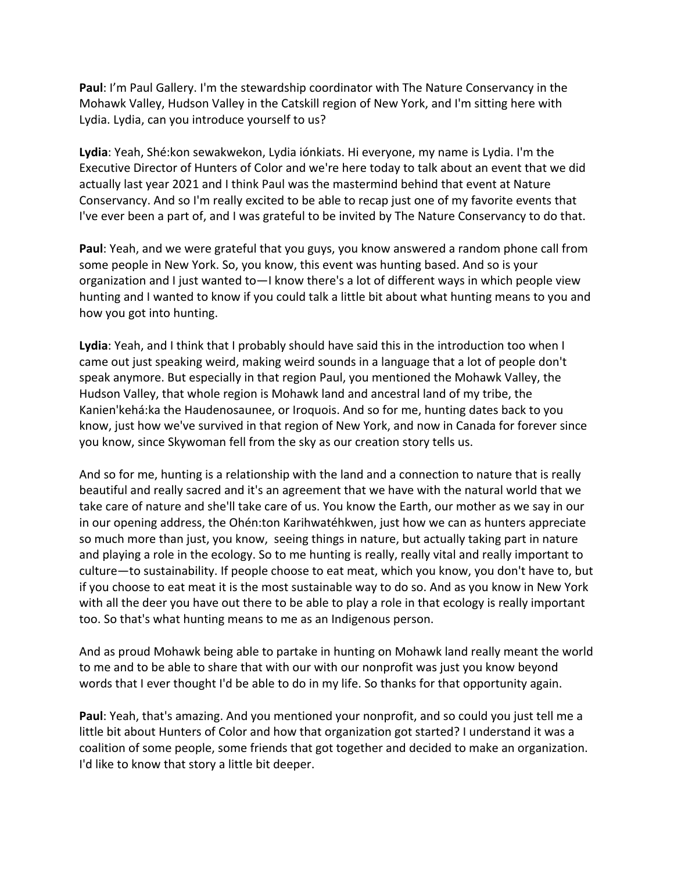**Paul**: I'm Paul Gallery. I'm the stewardship coordinator with The Nature Conservancy in the Mohawk Valley, Hudson Valley in the Catskill region of New York, and I'm sitting here with Lydia. Lydia, can you introduce yourself to us?

**Lydia**: Yeah, Shé:kon sewakwekon, Lydia iónkiats. Hi everyone, my name is Lydia. I'm the Executive Director of Hunters of Color and we're here today to talk about an event that we did actually last year 2021 and I think Paul was the mastermind behind that event at Nature Conservancy. And so I'm really excited to be able to recap just one of my favorite events that I've ever been a part of, and I was grateful to be invited by The Nature Conservancy to do that.

**Paul**: Yeah, and we were grateful that you guys, you know answered a random phone call from some people in New York. So, you know, this event was hunting based. And so is your organization and I just wanted to—I know there's a lot of different ways in which people view hunting and I wanted to know if you could talk a little bit about what hunting means to you and how you got into hunting.

**Lydia**: Yeah, and I think that I probably should have said this in the introduction too when I came out just speaking weird, making weird sounds in a language that a lot of people don't speak anymore. But especially in that region Paul, you mentioned the Mohawk Valley, the Hudson Valley, that whole region is Mohawk land and ancestral land of my tribe, the Kanien'kehá:ka the Haudenosaunee, or Iroquois. And so for me, hunting dates back to you know, just how we've survived in that region of New York, and now in Canada for forever since you know, since Skywoman fell from the sky as our creation story tells us.

And so for me, hunting is a relationship with the land and a connection to nature that is really beautiful and really sacred and it's an agreement that we have with the natural world that we take care of nature and she'll take care of us. You know the Earth, our mother as we say in our in our opening address, the Ohén:ton Karihwatéhkwen, just how we can as hunters appreciate so much more than just, you know, seeing things in nature, but actually taking part in nature and playing a role in the ecology. So to me hunting is really, really vital and really important to culture—to sustainability. If people choose to eat meat, which you know, you don't have to, but if you choose to eat meat it is the most sustainable way to do so. And as you know in New York with all the deer you have out there to be able to play a role in that ecology is really important too. So that's what hunting means to me as an Indigenous person.

And as proud Mohawk being able to partake in hunting on Mohawk land really meant the world to me and to be able to share that with our with our nonprofit was just you know beyond words that I ever thought I'd be able to do in my life. So thanks for that opportunity again.

**Paul**: Yeah, that's amazing. And you mentioned your nonprofit, and so could you just tell me a little bit about Hunters of Color and how that organization got started? I understand it was a coalition of some people, some friends that got together and decided to make an organization. I'd like to know that story a little bit deeper.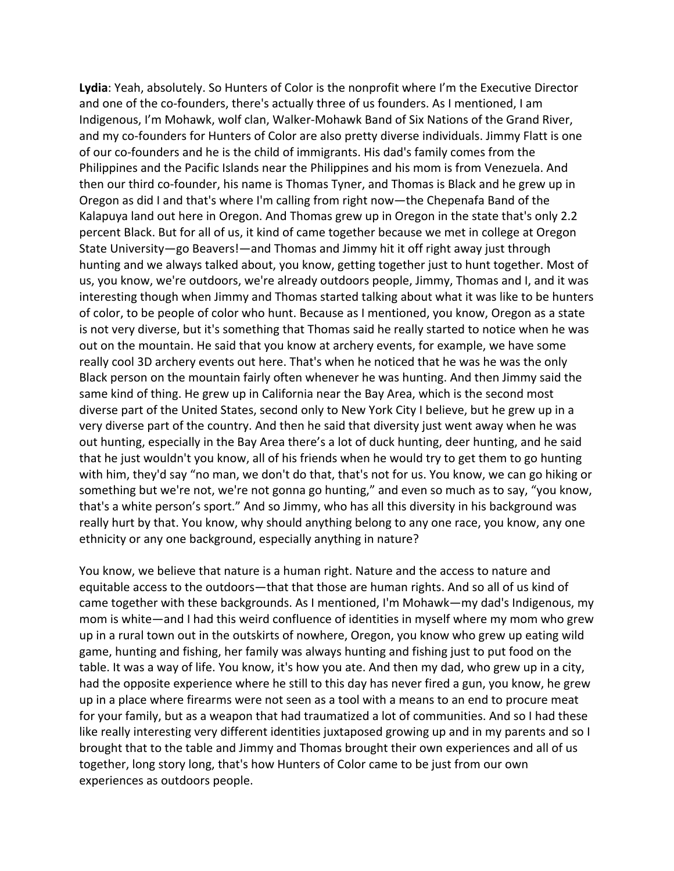**Lydia**: Yeah, absolutely. So Hunters of Color is the nonprofit where I'm the Executive Director and one of the co-founders, there's actually three of us founders. As I mentioned, I am Indigenous, I'm Mohawk, wolf clan, Walker-Mohawk Band of Six Nations of the Grand River, and my co-founders for Hunters of Color are also pretty diverse individuals. Jimmy Flatt is one of our co-founders and he is the child of immigrants. His dad's family comes from the Philippines and the Pacific Islands near the Philippines and his mom is from Venezuela. And then our third co-founder, his name is Thomas Tyner, and Thomas is Black and he grew up in Oregon as did I and that's where I'm calling from right now—the Chepenafa Band of the Kalapuya land out here in Oregon. And Thomas grew up in Oregon in the state that's only 2.2 percent Black. But for all of us, it kind of came together because we met in college at Oregon State University—go Beavers!—and Thomas and Jimmy hit it off right away just through hunting and we always talked about, you know, getting together just to hunt together. Most of us, you know, we're outdoors, we're already outdoors people, Jimmy, Thomas and I, and it was interesting though when Jimmy and Thomas started talking about what it was like to be hunters of color, to be people of color who hunt. Because as I mentioned, you know, Oregon as a state is not very diverse, but it's something that Thomas said he really started to notice when he was out on the mountain. He said that you know at archery events, for example, we have some really cool 3D archery events out here. That's when he noticed that he was he was the only Black person on the mountain fairly often whenever he was hunting. And then Jimmy said the same kind of thing. He grew up in California near the Bay Area, which is the second most diverse part of the United States, second only to New York City I believe, but he grew up in a very diverse part of the country. And then he said that diversity just went away when he was out hunting, especially in the Bay Area there's a lot of duck hunting, deer hunting, and he said that he just wouldn't you know, all of his friends when he would try to get them to go hunting with him, they'd say "no man, we don't do that, that's not for us. You know, we can go hiking or something but we're not, we're not gonna go hunting," and even so much as to say, "you know, that's a white person's sport." And so Jimmy, who has all this diversity in his background was really hurt by that. You know, why should anything belong to any one race, you know, any one ethnicity or any one background, especially anything in nature?

You know, we believe that nature is a human right. Nature and the access to nature and equitable access to the outdoors—that that those are human rights. And so all of us kind of came together with these backgrounds. As I mentioned, I'm Mohawk—my dad's Indigenous, my mom is white—and I had this weird confluence of identities in myself where my mom who grew up in a rural town out in the outskirts of nowhere, Oregon, you know who grew up eating wild game, hunting and fishing, her family was always hunting and fishing just to put food on the table. It was a way of life. You know, it's how you ate. And then my dad, who grew up in a city, had the opposite experience where he still to this day has never fired a gun, you know, he grew up in a place where firearms were not seen as a tool with a means to an end to procure meat for your family, but as a weapon that had traumatized a lot of communities. And so I had these like really interesting very different identities juxtaposed growing up and in my parents and so I brought that to the table and Jimmy and Thomas brought their own experiences and all of us together, long story long, that's how Hunters of Color came to be just from our own experiences as outdoors people.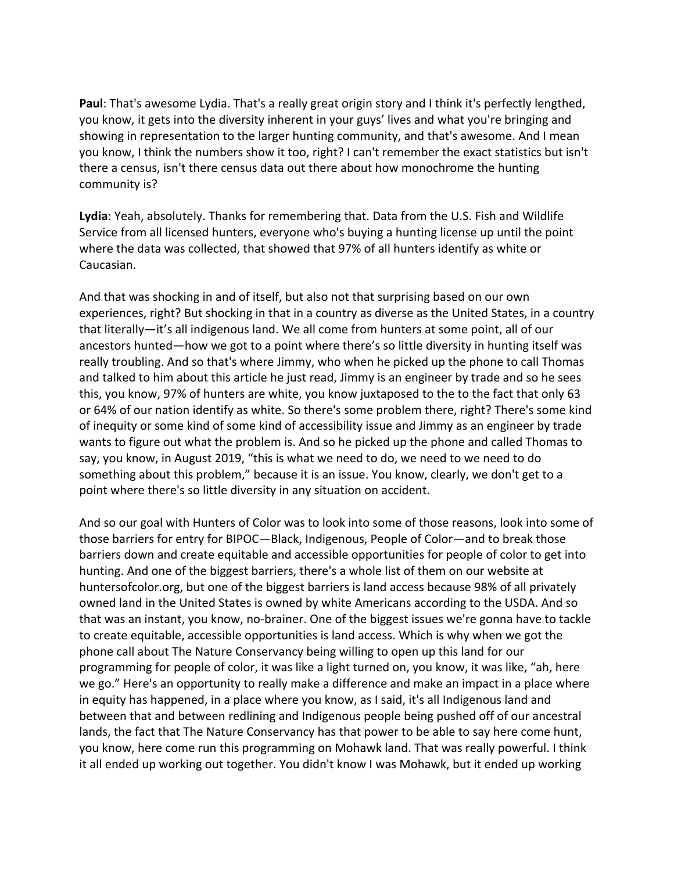**Paul**: That's awesome Lydia. That's a really great origin story and I think it's perfectly lengthed, you know, it gets into the diversity inherent in your guys' lives and what you're bringing and showing in representation to the larger hunting community, and that's awesome. And I mean you know, I think the numbers show it too, right? I can't remember the exact statistics but isn't there a census, isn't there census data out there about how monochrome the hunting community is?

**Lydia**: Yeah, absolutely. Thanks for remembering that. Data from the U.S. Fish and Wildlife Service from all licensed hunters, everyone who's buying a hunting license up until the point where the data was collected, that showed that 97% of all hunters identify as white or Caucasian.

And that was shocking in and of itself, but also not that surprising based on our own experiences, right? But shocking in that in a country as diverse as the United States, in a country that literally—it's all indigenous land. We all come from hunters at some point, all of our ancestors hunted—how we got to a point where there's so little diversity in hunting itself was really troubling. And so that's where Jimmy, who when he picked up the phone to call Thomas and talked to him about this article he just read, Jimmy is an engineer by trade and so he sees this, you know, 97% of hunters are white, you know juxtaposed to the to the fact that only 63 or 64% of our nation identify as white. So there's some problem there, right? There's some kind of inequity or some kind of some kind of accessibility issue and Jimmy as an engineer by trade wants to figure out what the problem is. And so he picked up the phone and called Thomas to say, you know, in August 2019, "this is what we need to do, we need to we need to do something about this problem," because it is an issue. You know, clearly, we don't get to a point where there's so little diversity in any situation on accident.

And so our goal with Hunters of Color was to look into some of those reasons, look into some of those barriers for entry for BIPOC—Black, Indigenous, People of Color—and to break those barriers down and create equitable and accessible opportunities for people of color to get into hunting. And one of the biggest barriers, there's a whole list of them on our website at huntersofcolor.org, but one of the biggest barriers is land access because 98% of all privately owned land in the United States is owned by white Americans according to the USDA. And so that was an instant, you know, no-brainer. One of the biggest issues we're gonna have to tackle to create equitable, accessible opportunities is land access. Which is why when we got the phone call about The Nature Conservancy being willing to open up this land for our programming for people of color, it was like a light turned on, you know, it was like, "ah, here we go." Here's an opportunity to really make a difference and make an impact in a place where in equity has happened, in a place where you know, as I said, it's all Indigenous land and between that and between redlining and Indigenous people being pushed off of our ancestral lands, the fact that The Nature Conservancy has that power to be able to say here come hunt, you know, here come run this programming on Mohawk land. That was really powerful. I think it all ended up working out together. You didn't know I was Mohawk, but it ended up working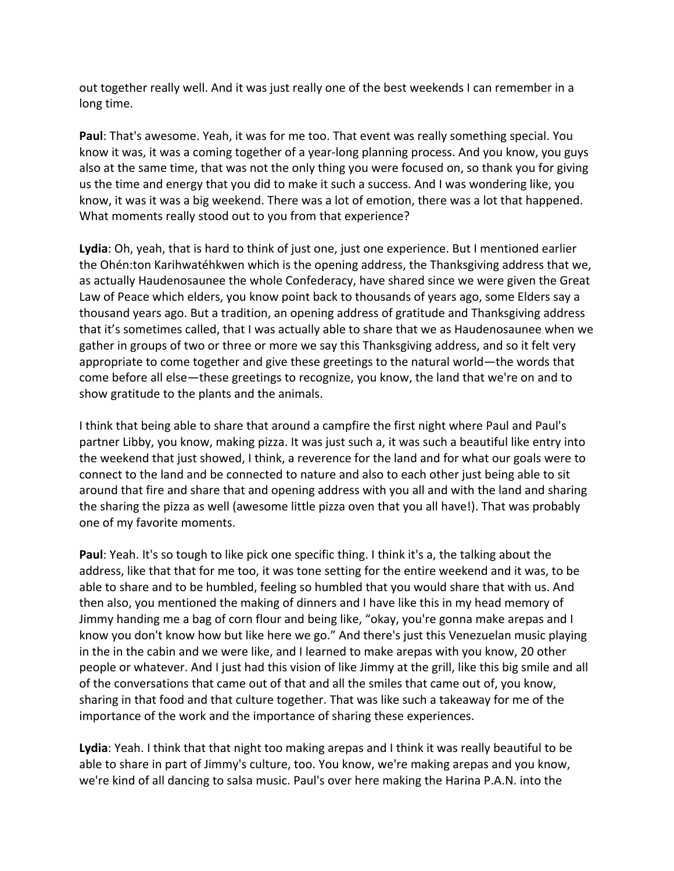out together really well. And it was just really one of the best weekends I can remember in a long time.

**Paul**: That's awesome. Yeah, it was for me too. That event was really something special. You know it was, it was a coming together of a year-long planning process. And you know, you guys also at the same time, that was not the only thing you were focused on, so thank you for giving us the time and energy that you did to make it such a success. And I was wondering like, you know, it was it was a big weekend. There was a lot of emotion, there was a lot that happened. What moments really stood out to you from that experience?

**Lydia**: Oh, yeah, that is hard to think of just one, just one experience. But I mentioned earlier the Ohén:ton Karihwatéhkwen which is the opening address, the Thanksgiving address that we, as actually Haudenosaunee the whole Confederacy, have shared since we were given the Great Law of Peace which elders, you know point back to thousands of years ago, some Elders say a thousand years ago. But a tradition, an opening address of gratitude and Thanksgiving address that it's sometimes called, that I was actually able to share that we as Haudenosaunee when we gather in groups of two or three or more we say this Thanksgiving address, and so it felt very appropriate to come together and give these greetings to the natural world—the words that come before all else—these greetings to recognize, you know, the land that we're on and to show gratitude to the plants and the animals.

I think that being able to share that around a campfire the first night where Paul and Paul's partner Libby, you know, making pizza. It was just such a, it was such a beautiful like entry into the weekend that just showed, I think, a reverence for the land and for what our goals were to connect to the land and be connected to nature and also to each other just being able to sit around that fire and share that and opening address with you all and with the land and sharing the sharing the pizza as well (awesome little pizza oven that you all have!). That was probably one of my favorite moments.

**Paul**: Yeah. It's so tough to like pick one specific thing. I think it's a, the talking about the address, like that that for me too, it was tone setting for the entire weekend and it was, to be able to share and to be humbled, feeling so humbled that you would share that with us. And then also, you mentioned the making of dinners and I have like this in my head memory of Jimmy handing me a bag of corn flour and being like, "okay, you're gonna make arepas and I know you don't know how but like here we go." And there's just this Venezuelan music playing in the in the cabin and we were like, and I learned to make arepas with you know, 20 other people or whatever. And I just had this vision of like Jimmy at the grill, like this big smile and all of the conversations that came out of that and all the smiles that came out of, you know, sharing in that food and that culture together. That was like such a takeaway for me of the importance of the work and the importance of sharing these experiences.

**Lydia**: Yeah. I think that that night too making arepas and I think it was really beautiful to be able to share in part of Jimmy's culture, too. You know, we're making arepas and you know, we're kind of all dancing to salsa music. Paul's over here making the Harina P.A.N. into the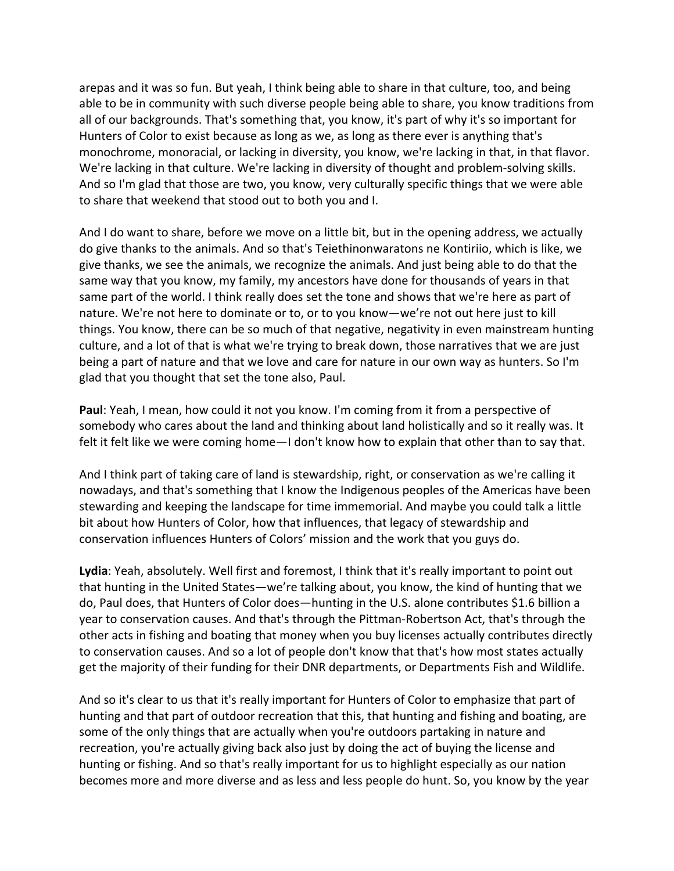arepas and it was so fun. But yeah, I think being able to share in that culture, too, and being able to be in community with such diverse people being able to share, you know traditions from all of our backgrounds. That's something that, you know, it's part of why it's so important for Hunters of Color to exist because as long as we, as long as there ever is anything that's monochrome, monoracial, or lacking in diversity, you know, we're lacking in that, in that flavor. We're lacking in that culture. We're lacking in diversity of thought and problem-solving skills. And so I'm glad that those are two, you know, very culturally specific things that we were able to share that weekend that stood out to both you and I.

And I do want to share, before we move on a little bit, but in the opening address, we actually do give thanks to the animals. And so that's Teiethinonwaratons ne Kontiriio, which is like, we give thanks, we see the animals, we recognize the animals. And just being able to do that the same way that you know, my family, my ancestors have done for thousands of years in that same part of the world. I think really does set the tone and shows that we're here as part of nature. We're not here to dominate or to, or to you know—we're not out here just to kill things. You know, there can be so much of that negative, negativity in even mainstream hunting culture, and a lot of that is what we're trying to break down, those narratives that we are just being a part of nature and that we love and care for nature in our own way as hunters. So I'm glad that you thought that set the tone also, Paul.

**Paul**: Yeah, I mean, how could it not you know. I'm coming from it from a perspective of somebody who cares about the land and thinking about land holistically and so it really was. It felt it felt like we were coming home—I don't know how to explain that other than to say that.

And I think part of taking care of land is stewardship, right, or conservation as we're calling it nowadays, and that's something that I know the Indigenous peoples of the Americas have been stewarding and keeping the landscape for time immemorial. And maybe you could talk a little bit about how Hunters of Color, how that influences, that legacy of stewardship and conservation influences Hunters of Colors' mission and the work that you guys do.

**Lydia**: Yeah, absolutely. Well first and foremost, I think that it's really important to point out that hunting in the United States—we're talking about, you know, the kind of hunting that we do, Paul does, that Hunters of Color does—hunting in the U.S. alone contributes \$1.6 billion a year to conservation causes. And that's through the Pittman-Robertson Act, that's through the other acts in fishing and boating that money when you buy licenses actually contributes directly to conservation causes. And so a lot of people don't know that that's how most states actually get the majority of their funding for their DNR departments, or Departments Fish and Wildlife.

And so it's clear to us that it's really important for Hunters of Color to emphasize that part of hunting and that part of outdoor recreation that this, that hunting and fishing and boating, are some of the only things that are actually when you're outdoors partaking in nature and recreation, you're actually giving back also just by doing the act of buying the license and hunting or fishing. And so that's really important for us to highlight especially as our nation becomes more and more diverse and as less and less people do hunt. So, you know by the year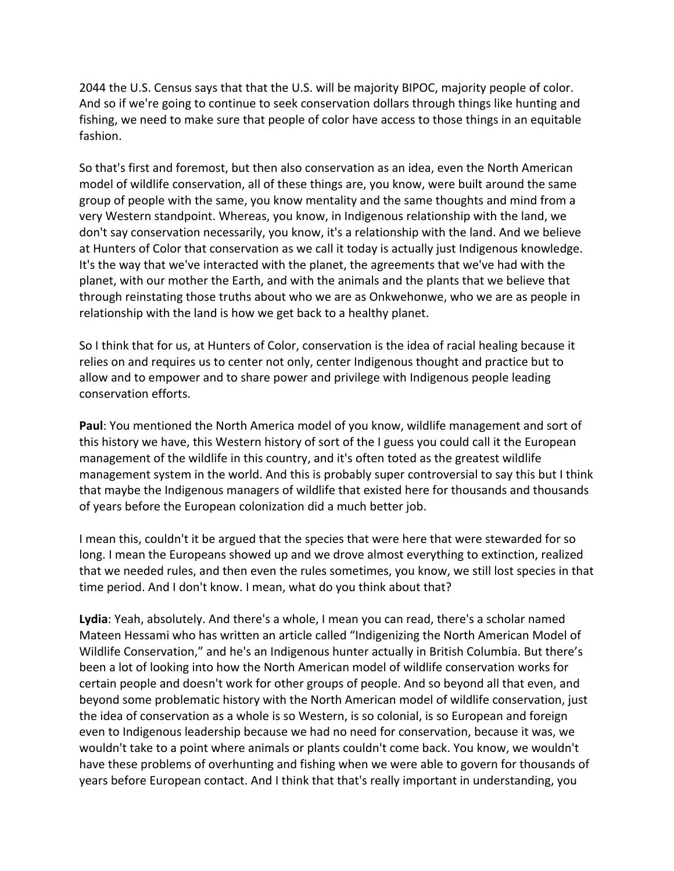2044 the U.S. Census says that that the U.S. will be majority BIPOC, majority people of color. And so if we're going to continue to seek conservation dollars through things like hunting and fishing, we need to make sure that people of color have access to those things in an equitable fashion.

So that's first and foremost, but then also conservation as an idea, even the North American model of wildlife conservation, all of these things are, you know, were built around the same group of people with the same, you know mentality and the same thoughts and mind from a very Western standpoint. Whereas, you know, in Indigenous relationship with the land, we don't say conservation necessarily, you know, it's a relationship with the land. And we believe at Hunters of Color that conservation as we call it today is actually just Indigenous knowledge. It's the way that we've interacted with the planet, the agreements that we've had with the planet, with our mother the Earth, and with the animals and the plants that we believe that through reinstating those truths about who we are as Onkwehonwe, who we are as people in relationship with the land is how we get back to a healthy planet.

So I think that for us, at Hunters of Color, conservation is the idea of racial healing because it relies on and requires us to center not only, center Indigenous thought and practice but to allow and to empower and to share power and privilege with Indigenous people leading conservation efforts.

**Paul**: You mentioned the North America model of you know, wildlife management and sort of this history we have, this Western history of sort of the I guess you could call it the European management of the wildlife in this country, and it's often toted as the greatest wildlife management system in the world. And this is probably super controversial to say this but I think that maybe the Indigenous managers of wildlife that existed here for thousands and thousands of years before the European colonization did a much better job.

I mean this, couldn't it be argued that the species that were here that were stewarded for so long. I mean the Europeans showed up and we drove almost everything to extinction, realized that we needed rules, and then even the rules sometimes, you know, we still lost species in that time period. And I don't know. I mean, what do you think about that?

**Lydia**: Yeah, absolutely. And there's a whole, I mean you can read, there's a scholar named Mateen Hessami who has written an article called "Indigenizing the North American Model of Wildlife Conservation," and he's an Indigenous hunter actually in British Columbia. But there's been a lot of looking into how the North American model of wildlife conservation works for certain people and doesn't work for other groups of people. And so beyond all that even, and beyond some problematic history with the North American model of wildlife conservation, just the idea of conservation as a whole is so Western, is so colonial, is so European and foreign even to Indigenous leadership because we had no need for conservation, because it was, we wouldn't take to a point where animals or plants couldn't come back. You know, we wouldn't have these problems of overhunting and fishing when we were able to govern for thousands of years before European contact. And I think that that's really important in understanding, you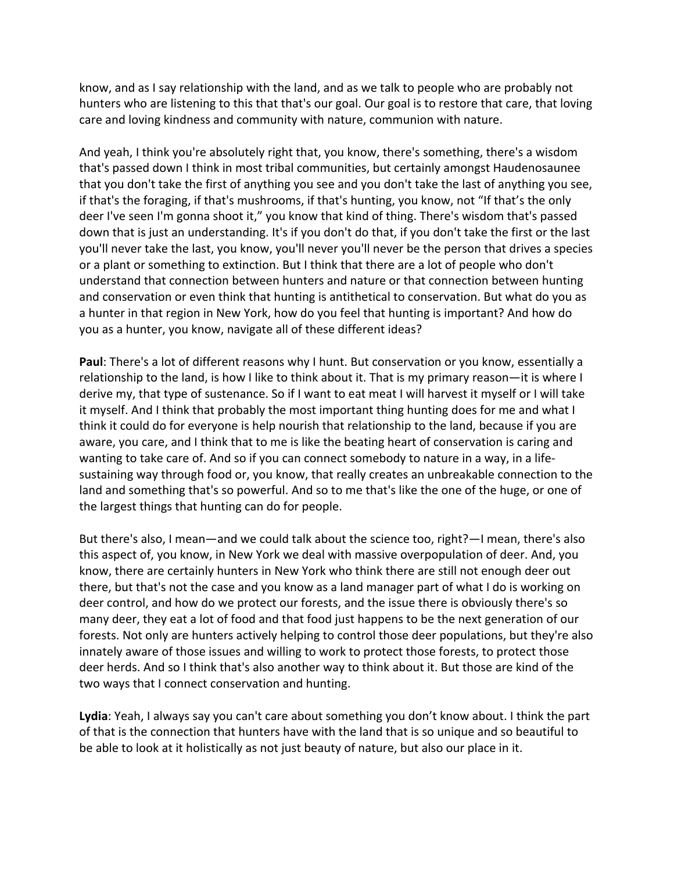know, and as I say relationship with the land, and as we talk to people who are probably not hunters who are listening to this that that's our goal. Our goal is to restore that care, that loving care and loving kindness and community with nature, communion with nature.

And yeah, I think you're absolutely right that, you know, there's something, there's a wisdom that's passed down I think in most tribal communities, but certainly amongst Haudenosaunee that you don't take the first of anything you see and you don't take the last of anything you see, if that's the foraging, if that's mushrooms, if that's hunting, you know, not "If that's the only deer I've seen I'm gonna shoot it," you know that kind of thing. There's wisdom that's passed down that is just an understanding. It's if you don't do that, if you don't take the first or the last you'll never take the last, you know, you'll never you'll never be the person that drives a species or a plant or something to extinction. But I think that there are a lot of people who don't understand that connection between hunters and nature or that connection between hunting and conservation or even think that hunting is antithetical to conservation. But what do you as a hunter in that region in New York, how do you feel that hunting is important? And how do you as a hunter, you know, navigate all of these different ideas?

**Paul**: There's a lot of different reasons why I hunt. But conservation or you know, essentially a relationship to the land, is how I like to think about it. That is my primary reason—it is where I derive my, that type of sustenance. So if I want to eat meat I will harvest it myself or I will take it myself. And I think that probably the most important thing hunting does for me and what I think it could do for everyone is help nourish that relationship to the land, because if you are aware, you care, and I think that to me is like the beating heart of conservation is caring and wanting to take care of. And so if you can connect somebody to nature in a way, in a lifesustaining way through food or, you know, that really creates an unbreakable connection to the land and something that's so powerful. And so to me that's like the one of the huge, or one of the largest things that hunting can do for people.

But there's also, I mean—and we could talk about the science too, right?—I mean, there's also this aspect of, you know, in New York we deal with massive overpopulation of deer. And, you know, there are certainly hunters in New York who think there are still not enough deer out there, but that's not the case and you know as a land manager part of what I do is working on deer control, and how do we protect our forests, and the issue there is obviously there's so many deer, they eat a lot of food and that food just happens to be the next generation of our forests. Not only are hunters actively helping to control those deer populations, but they're also innately aware of those issues and willing to work to protect those forests, to protect those deer herds. And so I think that's also another way to think about it. But those are kind of the two ways that I connect conservation and hunting.

**Lydia**: Yeah, I always say you can't care about something you don't know about. I think the part of that is the connection that hunters have with the land that is so unique and so beautiful to be able to look at it holistically as not just beauty of nature, but also our place in it.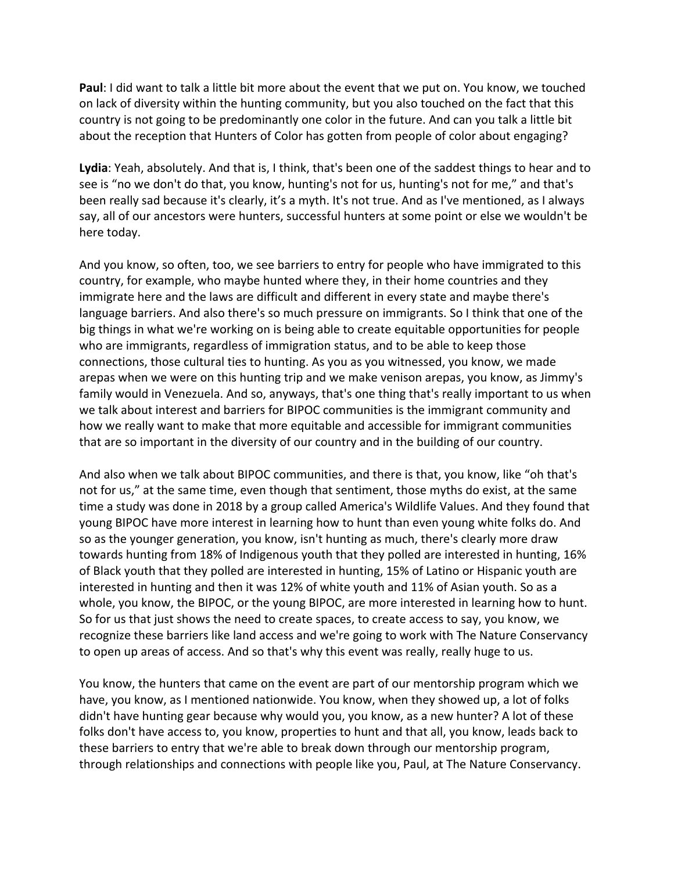**Paul**: I did want to talk a little bit more about the event that we put on. You know, we touched on lack of diversity within the hunting community, but you also touched on the fact that this country is not going to be predominantly one color in the future. And can you talk a little bit about the reception that Hunters of Color has gotten from people of color about engaging?

**Lydia**: Yeah, absolutely. And that is, I think, that's been one of the saddest things to hear and to see is "no we don't do that, you know, hunting's not for us, hunting's not for me," and that's been really sad because it's clearly, it's a myth. It's not true. And as I've mentioned, as I always say, all of our ancestors were hunters, successful hunters at some point or else we wouldn't be here today.

And you know, so often, too, we see barriers to entry for people who have immigrated to this country, for example, who maybe hunted where they, in their home countries and they immigrate here and the laws are difficult and different in every state and maybe there's language barriers. And also there's so much pressure on immigrants. So I think that one of the big things in what we're working on is being able to create equitable opportunities for people who are immigrants, regardless of immigration status, and to be able to keep those connections, those cultural ties to hunting. As you as you witnessed, you know, we made arepas when we were on this hunting trip and we make venison arepas, you know, as Jimmy's family would in Venezuela. And so, anyways, that's one thing that's really important to us when we talk about interest and barriers for BIPOC communities is the immigrant community and how we really want to make that more equitable and accessible for immigrant communities that are so important in the diversity of our country and in the building of our country.

And also when we talk about BIPOC communities, and there is that, you know, like "oh that's not for us," at the same time, even though that sentiment, those myths do exist, at the same time a study was done in 2018 by a group called America's Wildlife Values. And they found that young BIPOC have more interest in learning how to hunt than even young white folks do. And so as the younger generation, you know, isn't hunting as much, there's clearly more draw towards hunting from 18% of Indigenous youth that they polled are interested in hunting, 16% of Black youth that they polled are interested in hunting, 15% of Latino or Hispanic youth are interested in hunting and then it was 12% of white youth and 11% of Asian youth. So as a whole, you know, the BIPOC, or the young BIPOC, are more interested in learning how to hunt. So for us that just shows the need to create spaces, to create access to say, you know, we recognize these barriers like land access and we're going to work with The Nature Conservancy to open up areas of access. And so that's why this event was really, really huge to us.

You know, the hunters that came on the event are part of our mentorship program which we have, you know, as I mentioned nationwide. You know, when they showed up, a lot of folks didn't have hunting gear because why would you, you know, as a new hunter? A lot of these folks don't have access to, you know, properties to hunt and that all, you know, leads back to these barriers to entry that we're able to break down through our mentorship program, through relationships and connections with people like you, Paul, at The Nature Conservancy.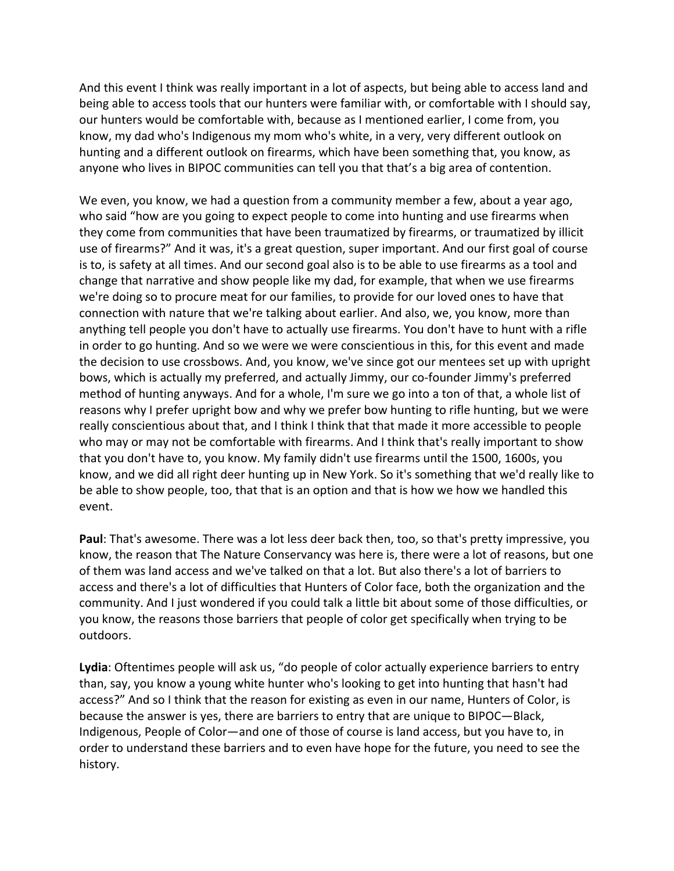And this event I think was really important in a lot of aspects, but being able to access land and being able to access tools that our hunters were familiar with, or comfortable with I should say, our hunters would be comfortable with, because as I mentioned earlier, I come from, you know, my dad who's Indigenous my mom who's white, in a very, very different outlook on hunting and a different outlook on firearms, which have been something that, you know, as anyone who lives in BIPOC communities can tell you that that's a big area of contention.

We even, you know, we had a question from a community member a few, about a year ago, who said "how are you going to expect people to come into hunting and use firearms when they come from communities that have been traumatized by firearms, or traumatized by illicit use of firearms?" And it was, it's a great question, super important. And our first goal of course is to, is safety at all times. And our second goal also is to be able to use firearms as a tool and change that narrative and show people like my dad, for example, that when we use firearms we're doing so to procure meat for our families, to provide for our loved ones to have that connection with nature that we're talking about earlier. And also, we, you know, more than anything tell people you don't have to actually use firearms. You don't have to hunt with a rifle in order to go hunting. And so we were we were conscientious in this, for this event and made the decision to use crossbows. And, you know, we've since got our mentees set up with upright bows, which is actually my preferred, and actually Jimmy, our co-founder Jimmy's preferred method of hunting anyways. And for a whole, I'm sure we go into a ton of that, a whole list of reasons why I prefer upright bow and why we prefer bow hunting to rifle hunting, but we were really conscientious about that, and I think I think that that made it more accessible to people who may or may not be comfortable with firearms. And I think that's really important to show that you don't have to, you know. My family didn't use firearms until the 1500, 1600s, you know, and we did all right deer hunting up in New York. So it's something that we'd really like to be able to show people, too, that that is an option and that is how we how we handled this event.

**Paul**: That's awesome. There was a lot less deer back then, too, so that's pretty impressive, you know, the reason that The Nature Conservancy was here is, there were a lot of reasons, but one of them was land access and we've talked on that a lot. But also there's a lot of barriers to access and there's a lot of difficulties that Hunters of Color face, both the organization and the community. And I just wondered if you could talk a little bit about some of those difficulties, or you know, the reasons those barriers that people of color get specifically when trying to be outdoors.

**Lydia**: Oftentimes people will ask us, "do people of color actually experience barriers to entry than, say, you know a young white hunter who's looking to get into hunting that hasn't had access?" And so I think that the reason for existing as even in our name, Hunters of Color, is because the answer is yes, there are barriers to entry that are unique to BIPOC—Black, Indigenous, People of Color—and one of those of course is land access, but you have to, in order to understand these barriers and to even have hope for the future, you need to see the history.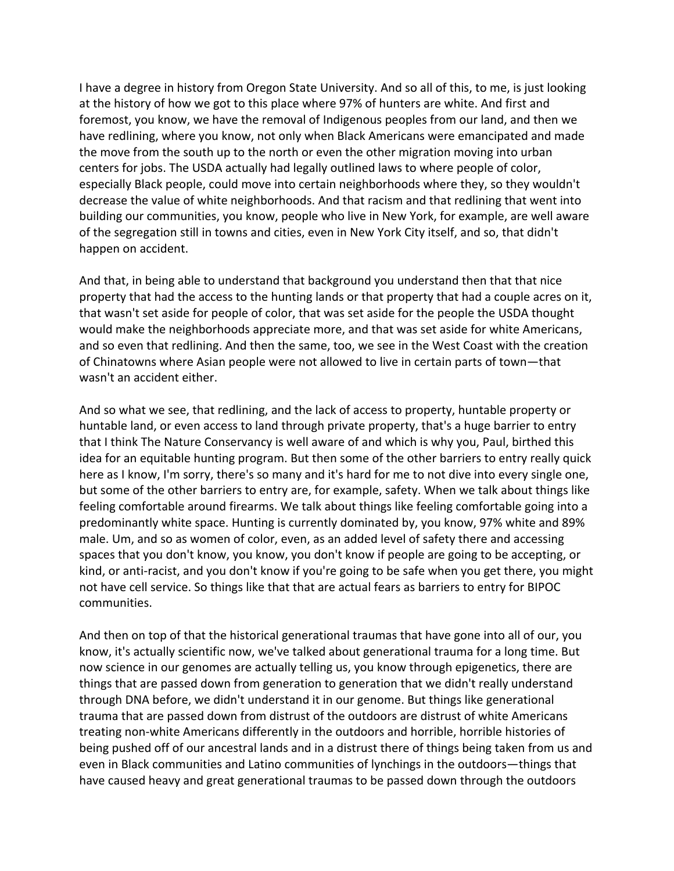I have a degree in history from Oregon State University. And so all of this, to me, is just looking at the history of how we got to this place where 97% of hunters are white. And first and foremost, you know, we have the removal of Indigenous peoples from our land, and then we have redlining, where you know, not only when Black Americans were emancipated and made the move from the south up to the north or even the other migration moving into urban centers for jobs. The USDA actually had legally outlined laws to where people of color, especially Black people, could move into certain neighborhoods where they, so they wouldn't decrease the value of white neighborhoods. And that racism and that redlining that went into building our communities, you know, people who live in New York, for example, are well aware of the segregation still in towns and cities, even in New York City itself, and so, that didn't happen on accident.

And that, in being able to understand that background you understand then that that nice property that had the access to the hunting lands or that property that had a couple acres on it, that wasn't set aside for people of color, that was set aside for the people the USDA thought would make the neighborhoods appreciate more, and that was set aside for white Americans, and so even that redlining. And then the same, too, we see in the West Coast with the creation of Chinatowns where Asian people were not allowed to live in certain parts of town—that wasn't an accident either.

And so what we see, that redlining, and the lack of access to property, huntable property or huntable land, or even access to land through private property, that's a huge barrier to entry that I think The Nature Conservancy is well aware of and which is why you, Paul, birthed this idea for an equitable hunting program. But then some of the other barriers to entry really quick here as I know, I'm sorry, there's so many and it's hard for me to not dive into every single one, but some of the other barriers to entry are, for example, safety. When we talk about things like feeling comfortable around firearms. We talk about things like feeling comfortable going into a predominantly white space. Hunting is currently dominated by, you know, 97% white and 89% male. Um, and so as women of color, even, as an added level of safety there and accessing spaces that you don't know, you know, you don't know if people are going to be accepting, or kind, or anti-racist, and you don't know if you're going to be safe when you get there, you might not have cell service. So things like that that are actual fears as barriers to entry for BIPOC communities.

And then on top of that the historical generational traumas that have gone into all of our, you know, it's actually scientific now, we've talked about generational trauma for a long time. But now science in our genomes are actually telling us, you know through epigenetics, there are things that are passed down from generation to generation that we didn't really understand through DNA before, we didn't understand it in our genome. But things like generational trauma that are passed down from distrust of the outdoors are distrust of white Americans treating non-white Americans differently in the outdoors and horrible, horrible histories of being pushed off of our ancestral lands and in a distrust there of things being taken from us and even in Black communities and Latino communities of lynchings in the outdoors—things that have caused heavy and great generational traumas to be passed down through the outdoors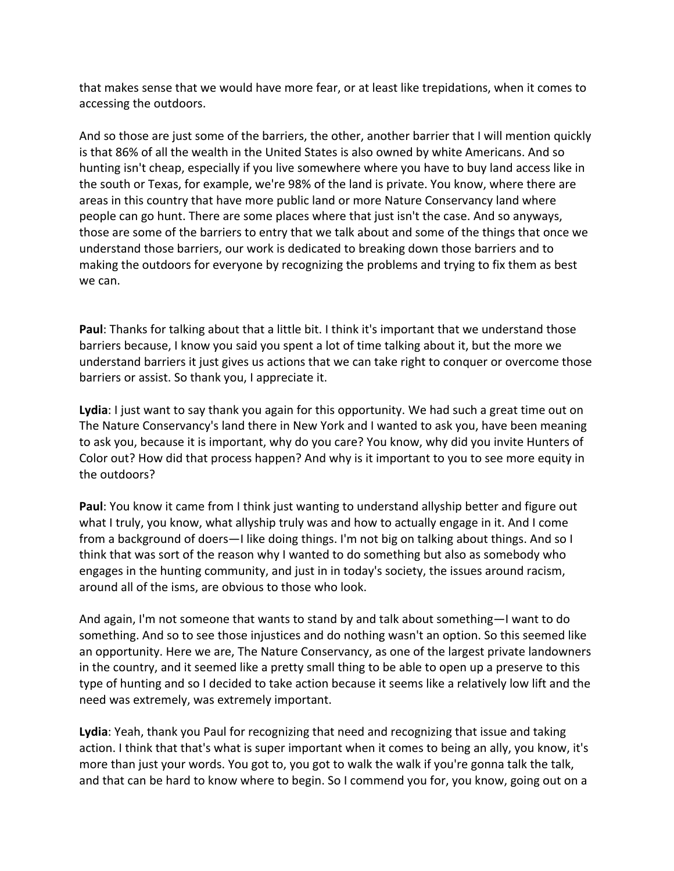that makes sense that we would have more fear, or at least like trepidations, when it comes to accessing the outdoors.

And so those are just some of the barriers, the other, another barrier that I will mention quickly is that 86% of all the wealth in the United States is also owned by white Americans. And so hunting isn't cheap, especially if you live somewhere where you have to buy land access like in the south or Texas, for example, we're 98% of the land is private. You know, where there are areas in this country that have more public land or more Nature Conservancy land where people can go hunt. There are some places where that just isn't the case. And so anyways, those are some of the barriers to entry that we talk about and some of the things that once we understand those barriers, our work is dedicated to breaking down those barriers and to making the outdoors for everyone by recognizing the problems and trying to fix them as best we can.

**Paul**: Thanks for talking about that a little bit. I think it's important that we understand those barriers because, I know you said you spent a lot of time talking about it, but the more we understand barriers it just gives us actions that we can take right to conquer or overcome those barriers or assist. So thank you, I appreciate it.

**Lydia**: I just want to say thank you again for this opportunity. We had such a great time out on The Nature Conservancy's land there in New York and I wanted to ask you, have been meaning to ask you, because it is important, why do you care? You know, why did you invite Hunters of Color out? How did that process happen? And why is it important to you to see more equity in the outdoors?

**Paul**: You know it came from I think just wanting to understand allyship better and figure out what I truly, you know, what allyship truly was and how to actually engage in it. And I come from a background of doers—I like doing things. I'm not big on talking about things. And so I think that was sort of the reason why I wanted to do something but also as somebody who engages in the hunting community, and just in in today's society, the issues around racism, around all of the isms, are obvious to those who look.

And again, I'm not someone that wants to stand by and talk about something—I want to do something. And so to see those injustices and do nothing wasn't an option. So this seemed like an opportunity. Here we are, The Nature Conservancy, as one of the largest private landowners in the country, and it seemed like a pretty small thing to be able to open up a preserve to this type of hunting and so I decided to take action because it seems like a relatively low lift and the need was extremely, was extremely important.

**Lydia**: Yeah, thank you Paul for recognizing that need and recognizing that issue and taking action. I think that that's what is super important when it comes to being an ally, you know, it's more than just your words. You got to, you got to walk the walk if you're gonna talk the talk, and that can be hard to know where to begin. So I commend you for, you know, going out on a